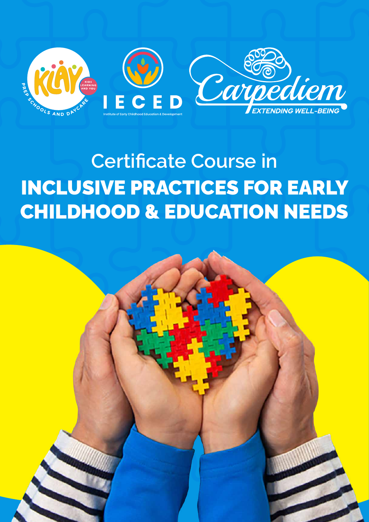

# **Certificate Course in** INCLUSIVE PRACTICES FOR EARLY CHILDHOOD & EDUCATION NEEDS

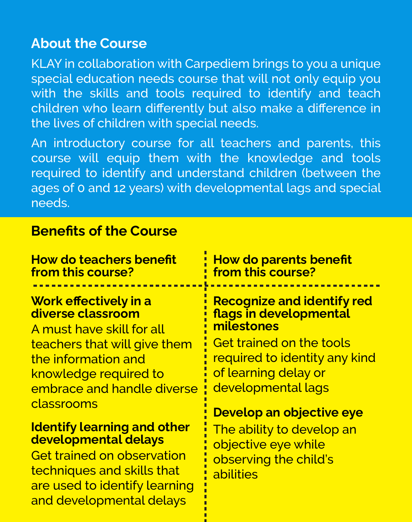#### **About the Course**

KLAY in collaboration with Carpediem brings to you a unique special education needs course that will not only equip you with the skills and tools required to identify and teach children who learn differently but also make a difference in the lives of children with special needs.

An introductory course for all teachers and parents, this course will equip them with the knowledge and tools required to identify and understand children (between the ages of 0 and 12 years) with developmental lags and special needs.

#### **Benefits of the Course**

and developmental delays

#### **Work effectively in a diverse classroom How do teachers benefit from this course? How do parents benefit from this course? Recognize and identify red flags in developmental**  A must have skill for all **milestones**  teachers that will give them the information and knowledge required to embrace and handle diverse classrooms **Identify learning and other developmental delays**  Get trained on observation techniques and skills that are used to identify learning Get trained on the tools required to identity any kind of learning delay or developmental lags **Develop an objective eye**  The ability to develop an objective eye while observing the child's abilities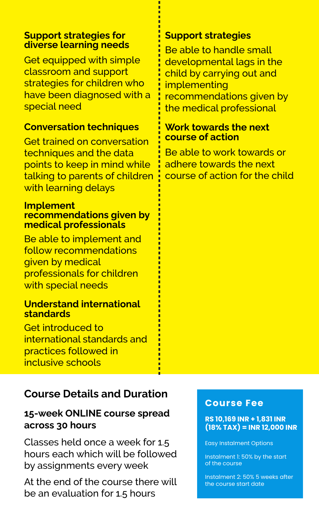#### **Support strategies for diverse learning needs**

Get equipped with simple classroom and support strategies for children who have been diagnosed with a special need

#### **Conversation techniques**

Get trained on conversation techniques and the data points to keep in mind while talking to parents of children with learning delays

#### **Implement recommendations given by medical professionals**

Be able to implement and follow recommendations given by medical professionals for children with special needs

#### **Understand international standards**

Get introduced to international standards and practices followed in inclusive schools

## **Course Details and Duration**

#### **15-week ONLINE course spread across 30 hours**

Classes held once a week for 1.5 hours each which will be followed by assignments every week

At the end of the course there will be an evaluation for 1.5 hours

### **Support strategies**

Be able to handle small developmental lags in the child by carrying out and implementing recommendations given by the medical professional

#### **Work towards the next course of action**

Be able to work towards or adhere towards the next course of action for the child

#### **Course Fee**

#### **RS 10,169 INR + 1,831 INR (18% TAX) = INR 12,000 INR**

Easy Instalment Options

Instalment 1: 50% by the start of the course

Instalment 2: 50% 5 weeks after the course start date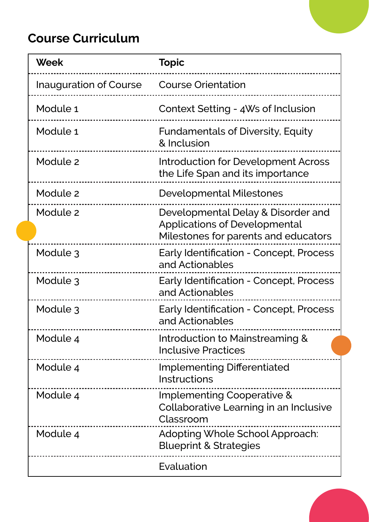## **Course Curriculum**

| <b>Week</b>                   | <b>Topic</b>                                                                                                       |
|-------------------------------|--------------------------------------------------------------------------------------------------------------------|
| <b>Inauguration of Course</b> | <b>Course Orientation</b>                                                                                          |
| Module 1                      | Context Setting - 4Ws of Inclusion                                                                                 |
| Module 1                      | <b>Fundamentals of Diversity, Equity</b><br>& Inclusion                                                            |
| Module 2                      | Introduction for Development Across<br>the Life Span and its importance                                            |
| Module 2                      | Developmental Milestones                                                                                           |
| Module 2                      | Developmental Delay & Disorder and<br><b>Applications of Developmental</b><br>Milestones for parents and educators |
| Module 3                      | <b>Early Identification - Concept, Process</b><br>and Actionables                                                  |
| Module 3                      | Early Identification - Concept, Process<br>and Actionables                                                         |
| Module 3                      | <b>Early Identification - Concept, Process</b><br>and Actionables                                                  |
| Module 4                      | Introduction to Mainstreaming &<br><b>Inclusive Practices</b>                                                      |
| Module 4                      | <b>Implementing Differentiated</b><br><b>Instructions</b>                                                          |
| Module 4                      | Implementing Cooperative &<br>Collaborative Learning in an Inclusive<br>Classroom                                  |
| Module 4                      | Adopting Whole School Approach:<br><b>Blueprint &amp; Strategies</b>                                               |
|                               | Evaluation                                                                                                         |